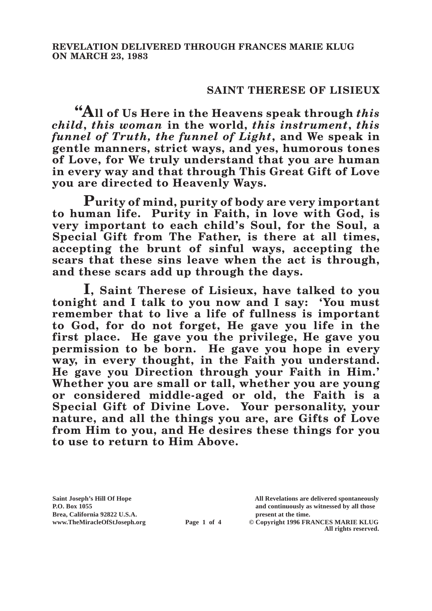## **SAINT THERESE OF LISIEUX**

**"All of Us Here in the Heavens speak through** *this child***,** *this woman* **in the world,** *this instrument***,** *this funnel of Truth, the funnel of Light***, and We speak in gentle manners, strict ways, and yes, humorous tones of Love, for We truly understand that you are human in every way and that through This Great Gift of Love you are directed to Heavenly Ways.**

**Purity of mind, purity of body are very important to human life. Purity in Faith, in love with God, is very important to each child's Soul, for the Soul, a Special Gift from The Father, is there at all times, accepting the brunt of sinful ways, accepting the scars that these sins leave when the act is through, and these scars add up through the days.**

**I, Saint Therese of Lisieux, have talked to you tonight and I talk to you now and I say: 'You must remember that to live a life of fullness is important to God, for do not forget, He gave you life in the first place. He gave you the privilege, He gave you permission to be born. He gave you hope in every way, in every thought, in the Faith you understand. He gave you Direction through your Faith in Him.' Whether you are small or tall, whether you are young or considered middle-aged or old, the Faith is a Special Gift of Divine Love. Your personality, your nature, and all the things you are, are Gifts of Love from Him to you, and He desires these things for you to use to return to Him Above.**

**Brea, California 92822 U.S.A. present at the time.**<br> **Page 1 of 4** © Copyright 1996 FR.

**Saint Joseph's Hill Of Hope All Revelations are delivered spontaneously P.O. Box 1055 and continuously as witnessed by all those** 

**Page 1 of 4** © Copyright 1996 FRANCES MARIE KLUG **All rights reserved.**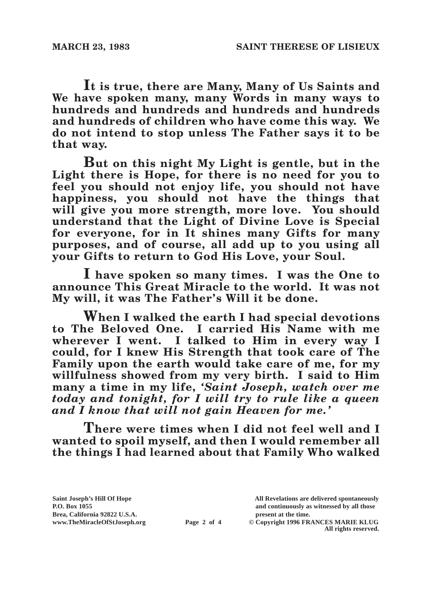**It is true, there are Many, Many of Us Saints and We have spoken many, many Words in many ways to hundreds and hundreds and hundreds and hundreds and hundreds of children who have come this way. We do not intend to stop unless The Father says it to be that way.**

**But on this night My Light is gentle, but in the Light there is Hope, for there is no need for you to feel you should not enjoy life, you should not have happiness, you should not have the things that will give you more strength, more love. You should understand that the Light of Divine Love is Special for everyone, for in It shines many Gifts for many purposes, and of course, all add up to you using all your Gifts to return to God His Love, your Soul.**

**I have spoken so many times. I was the One to announce This Great Miracle to the world. It was not My will, it was The Father's Will it be done.**

**When I walked the earth I had special devotions to The Beloved One. I carried His Name with me wherever I went. I talked to Him in every way I could, for I knew His Strength that took care of The Family upon the earth would take care of me, for my willfulness showed from my very birth. I said to Him many a time in my life,** *'Saint Joseph, watch over me today and tonight, for I will try to rule like a queen and I know that will not gain Heaven for me.'*

**There were times when I did not feel well and I wanted to spoil myself, and then I would remember all the things I had learned about that Family Who walked** 

Brea, California 92822 U.S.A.<br>
www.TheMiracleOfStJoseph.org<br> **Page 2 of 4** © Copyright 1996 FR.

**Saint Joseph's Hill Of Hope All Revelations are delivered spontaneously P.O. Box 1055 and continuously as witnessed by all those** 

**Page 2 of 4** © Copyright 1996 FRANCES MARIE KLUG **All rights reserved.**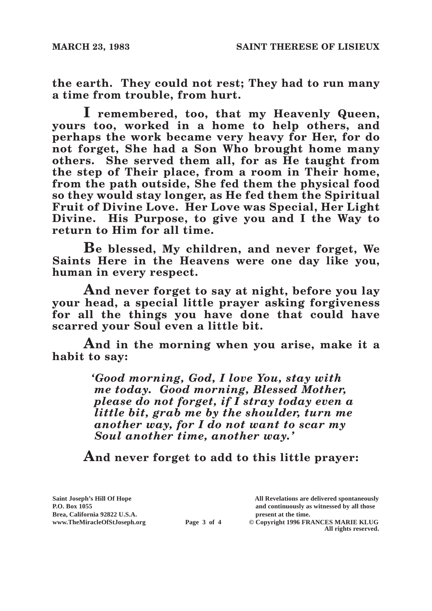**the earth. They could not rest; They had to run many a time from trouble, from hurt.**

**I remembered, too, that my Heavenly Queen, yours too, worked in a home to help others, and perhaps the work became very heavy for Her, for do not forget, She had a Son Who brought home many others. She served them all, for as He taught from the step of Their place, from a room in Their home, from the path outside, She fed them the physical food so they would stay longer, as He fed them the Spiritual Fruit of Divine Love. Her Love was Special, Her Light Divine. His Purpose, to give you and I the Way to return to Him for all time.**

**Be blessed, My children, and never forget, We Saints Here in the Heavens were one day like you, human in every respect.**

**And never forget to say at night, before you lay your head, a special little prayer asking forgiveness for all the things you have done that could have scarred your Soul even a little bit.**

**And in the morning when you arise, make it a habit to say:**

> *'Good morning, God, I love You, stay with me today. Good morning, Blessed Mother, please do not forget, if I stray today even a little bit, grab me by the shoulder, turn me another way, for I do not want to scar my Soul another time, another way.'*

**And never forget to add to this little prayer:**

Brea, California 92822 U.S.A.<br>
www.TheMiracleOfStJoseph.org<br> **Page 3 of 4** © Copyright 1996 FR.

**Saint Joseph's Hill Of Hope All Revelations are delivered spontaneously P.O. Box 1055 and continuously as witnessed by all those** 

**Page 3 of 4** © Copyright 1996 FRANCES MARIE KLUG **All rights reserved.**